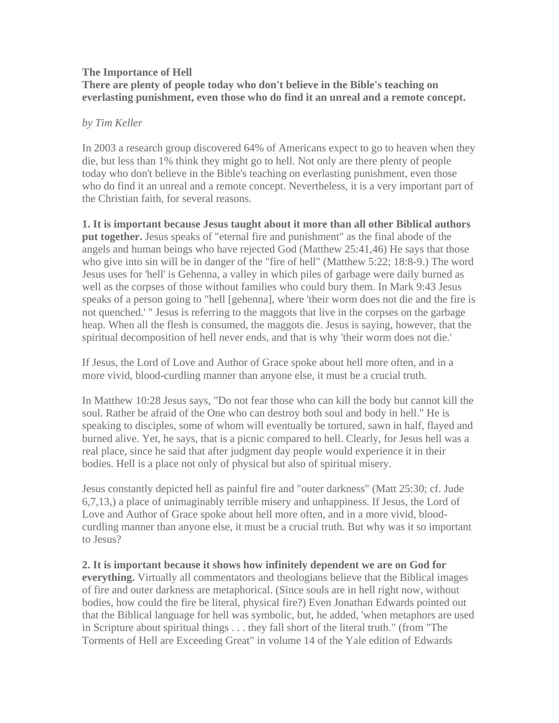## **The Importance of Hell There are plenty of people today who don't believe in the Bible's teaching on everlasting punishment, even those who do find it an unreal and a remote concept.**

## *by Tim Keller*

In 2003 a research group discovered 64% of Americans expect to go to heaven when they die, but less than 1% think they might go to hell. Not only are there plenty of people today who don't believe in the Bible's teaching on everlasting punishment, even those who do find it an unreal and a remote concept. Nevertheless, it is a very important part of the Christian faith, for several reasons.

**1. It is important because Jesus taught about it more than all other Biblical authors put together.** Jesus speaks of "eternal fire and punishment" as the final abode of the angels and human beings who have rejected God (Matthew 25:41,46) He says that those who give into sin will be in danger of the "fire of hell" (Matthew 5:22; 18:8-9.) The word Jesus uses for 'hell' is Gehenna, a valley in which piles of garbage were daily burned as well as the corpses of those without families who could bury them. In Mark 9:43 Jesus speaks of a person going to "hell [gehenna], where 'their worm does not die and the fire is not quenched.' " Jesus is referring to the maggots that live in the corpses on the garbage heap. When all the flesh is consumed, the maggots die. Jesus is saying, however, that the spiritual decomposition of hell never ends, and that is why 'their worm does not die.'

If Jesus, the Lord of Love and Author of Grace spoke about hell more often, and in a more vivid, blood-curdling manner than anyone else, it must be a crucial truth.

In Matthew 10:28 Jesus says, "Do not fear those who can kill the body but cannot kill the soul. Rather be afraid of the One who can destroy both soul and body in hell." He is speaking to disciples, some of whom will eventually be tortured, sawn in half, flayed and burned alive. Yet, he says, that is a picnic compared to hell. Clearly, for Jesus hell was a real place, since he said that after judgment day people would experience it in their bodies. Hell is a place not only of physical but also of spiritual misery.

Jesus constantly depicted hell as painful fire and "outer darkness" (Matt 25:30; cf. Jude 6,7,13,) a place of unimaginably terrible misery and unhappiness. If Jesus, the Lord of Love and Author of Grace spoke about hell more often, and in a more vivid, bloodcurdling manner than anyone else, it must be a crucial truth. But why was it so important to Jesus?

**2. It is important because it shows how infinitely dependent we are on God for everything.** Virtually all commentators and theologians believe that the Biblical images of fire and outer darkness are metaphorical. (Since souls are in hell right now, without bodies, how could the fire be literal, physical fire?) Even Jonathan Edwards pointed out that the Biblical language for hell was symbolic, but, he added, 'when metaphors are used in Scripture about spiritual things . . . they fall short of the literal truth." (from "The Torments of Hell are Exceeding Great" in volume 14 of the Yale edition of Edwards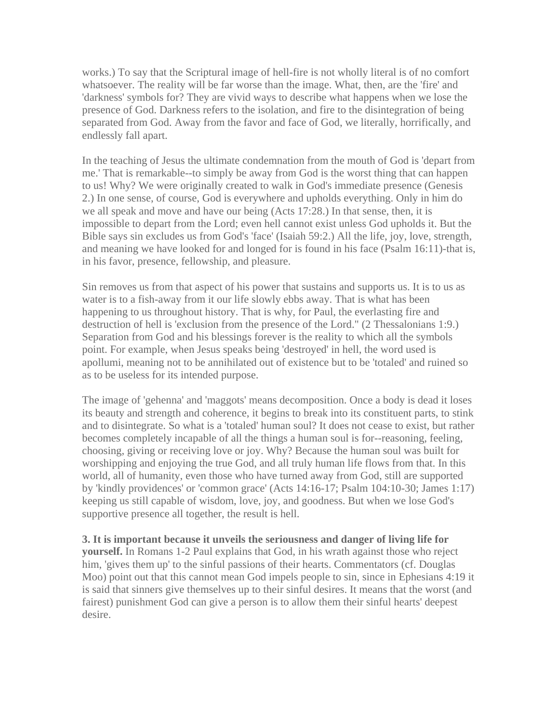works.) To say that the Scriptural image of hell-fire is not wholly literal is of no comfort whatsoever. The reality will be far worse than the image. What, then, are the 'fire' and 'darkness' symbols for? They are vivid ways to describe what happens when we lose the presence of God. Darkness refers to the isolation, and fire to the disintegration of being separated from God. Away from the favor and face of God, we literally, horrifically, and endlessly fall apart.

In the teaching of Jesus the ultimate condemnation from the mouth of God is 'depart from me.' That is remarkable--to simply be away from God is the worst thing that can happen to us! Why? We were originally created to walk in God's immediate presence (Genesis 2.) In one sense, of course, God is everywhere and upholds everything. Only in him do we all speak and move and have our being (Acts 17:28.) In that sense, then, it is impossible to depart from the Lord; even hell cannot exist unless God upholds it. But the Bible says sin excludes us from God's 'face' (Isaiah 59:2.) All the life, joy, love, strength, and meaning we have looked for and longed for is found in his face (Psalm 16:11)-that is, in his favor, presence, fellowship, and pleasure.

Sin removes us from that aspect of his power that sustains and supports us. It is to us as water is to a fish-away from it our life slowly ebbs away. That is what has been happening to us throughout history. That is why, for Paul, the everlasting fire and destruction of hell is 'exclusion from the presence of the Lord." (2 Thessalonians 1:9.) Separation from God and his blessings forever is the reality to which all the symbols point. For example, when Jesus speaks being 'destroyed' in hell, the word used is apollumi, meaning not to be annihilated out of existence but to be 'totaled' and ruined so as to be useless for its intended purpose.

The image of 'gehenna' and 'maggots' means decomposition. Once a body is dead it loses its beauty and strength and coherence, it begins to break into its constituent parts, to stink and to disintegrate. So what is a 'totaled' human soul? It does not cease to exist, but rather becomes completely incapable of all the things a human soul is for--reasoning, feeling, choosing, giving or receiving love or joy. Why? Because the human soul was built for worshipping and enjoying the true God, and all truly human life flows from that. In this world, all of humanity, even those who have turned away from God, still are supported by 'kindly providences' or 'common grace' (Acts 14:16-17; Psalm 104:10-30; James 1:17) keeping us still capable of wisdom, love, joy, and goodness. But when we lose God's supportive presence all together, the result is hell.

**3. It is important because it unveils the seriousness and danger of living life for yourself.** In Romans 1-2 Paul explains that God, in his wrath against those who reject him, 'gives them up' to the sinful passions of their hearts. Commentators (cf. Douglas Moo) point out that this cannot mean God impels people to sin, since in Ephesians 4:19 it is said that sinners give themselves up to their sinful desires. It means that the worst (and fairest) punishment God can give a person is to allow them their sinful hearts' deepest desire.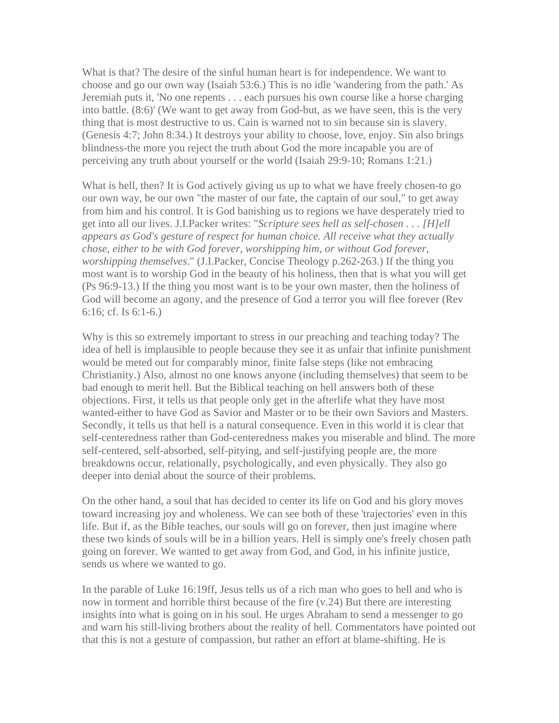What is that? The desire of the sinful human heart is for independence. We want to choose and go our own way (Isaiah 53:6.) This is no idle 'wandering from the path.' As Jeremiah puts it, 'No one repents . . . each pursues his own course like a horse charging into battle. (8:6)' (We want to get away from God-but, as we have seen, this is the very thing that is most destructive to us. Cain is warned not to sin because sin is slavery. (Genesis 4:7; John 8:34.) It destroys your ability to choose, love, enjoy. Sin also brings blindness-the more you reject the truth about God the more incapable you are of perceiving any truth about yourself or the world (Isaiah 29:9-10; Romans 1:21.)

What is hell, then? It is God actively giving us up to what we have freely chosen-to go our own way, be our own "the master of our fate, the captain of our soul," to get away from him and his control. It is God banishing us to regions we have desperately tried to get into all our lives. J.I.Packer writes: "*Scripture sees hell as self-chosen . . . [H]ell appears as God's gesture of respect for human choice. All receive what they actually chose, either to be with God forever, worshipping him, or without God forever, worshipping themselves*." (J.I.Packer, Concise Theology p.262-263.) If the thing you most want is to worship God in the beauty of his holiness, then that is what you will get (Ps 96:9-13.) If the thing you most want is to be your own master, then the holiness of God will become an agony, and the presence of God a terror you will flee forever (Rev 6:16; cf. Is 6:1-6.)

Why is this so extremely important to stress in our preaching and teaching today? The idea of hell is implausible to people because they see it as unfair that infinite punishment would be meted out for comparably minor, finite false steps (like not embracing Christianity.) Also, almost no one knows anyone (including themselves) that seem to be bad enough to merit hell. But the Biblical teaching on hell answers both of these objections. First, it tells us that people only get in the afterlife what they have most wanted-either to have God as Savior and Master or to be their own Saviors and Masters. Secondly, it tells us that hell is a natural consequence. Even in this world it is clear that self-centeredness rather than God-centeredness makes you miserable and blind. The more self-centered, self-absorbed, self-pitying, and self-justifying people are, the more breakdowns occur, relationally, psychologically, and even physically. They also go deeper into denial about the source of their problems.

On the other hand, a soul that has decided to center its life on God and his glory moves toward increasing joy and wholeness. We can see both of these 'trajectories' even in this life. But if, as the Bible teaches, our souls will go on forever, then just imagine where these two kinds of souls will be in a billion years. Hell is simply one's freely chosen path going on forever. We wanted to get away from God, and God, in his infinite justice, sends us where we wanted to go.

In the parable of Luke 16:19ff, Jesus tells us of a rich man who goes to hell and who is now in torment and horrible thirst because of the fire (v.24) But there are interesting insights into what is going on in his soul. He urges Abraham to send a messenger to go and warn his still-living brothers about the reality of hell. Commentators have pointed out that this is not a gesture of compassion, but rather an effort at blame-shifting. He is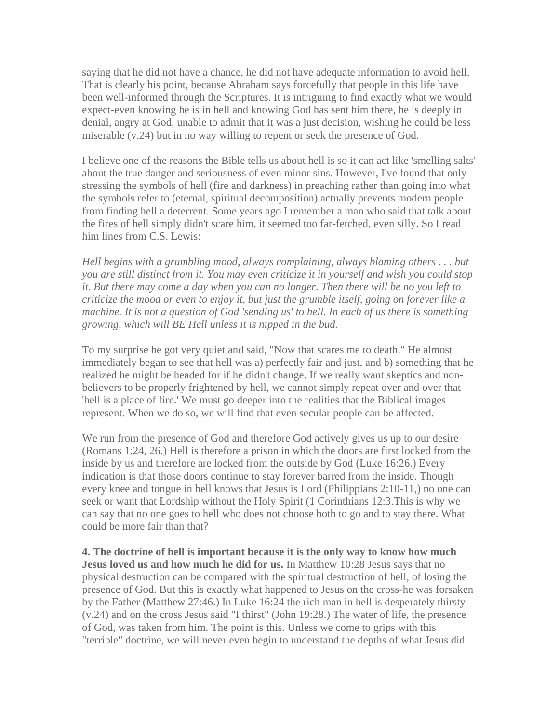saying that he did not have a chance, he did not have adequate information to avoid hell. That is clearly his point, because Abraham says forcefully that people in this life have been well-informed through the Scriptures. It is intriguing to find exactly what we would expect-even knowing he is in hell and knowing God has sent him there, he is deeply in denial, angry at God, unable to admit that it was a just decision, wishing he could be less miserable (v.24) but in no way willing to repent or seek the presence of God.

I believe one of the reasons the Bible tells us about hell is so it can act like 'smelling salts' about the true danger and seriousness of even minor sins. However, I've found that only stressing the symbols of hell (fire and darkness) in preaching rather than going into what the symbols refer to (eternal, spiritual decomposition) actually prevents modern people from finding hell a deterrent. Some years ago I remember a man who said that talk about the fires of hell simply didn't scare him, it seemed too far-fetched, even silly. So I read him lines from C.S. Lewis:

*Hell begins with a grumbling mood, always complaining, always blaming others . . . but you are still distinct from it. You may even criticize it in yourself and wish you could stop it. But there may come a day when you can no longer. Then there will be no you left to criticize the mood or even to enjoy it, but just the grumble itself, going on forever like a machine. It is not a question of God 'sending us' to hell. In each of us there is something growing, which will BE Hell unless it is nipped in the bud.*

To my surprise he got very quiet and said, "Now that scares me to death." He almost immediately began to see that hell was a) perfectly fair and just, and b) something that he realized he might be headed for if he didn't change. If we really want skeptics and nonbelievers to be properly frightened by hell, we cannot simply repeat over and over that 'hell is a place of fire.' We must go deeper into the realities that the Biblical images represent. When we do so, we will find that even secular people can be affected.

We run from the presence of God and therefore God actively gives us up to our desire (Romans 1:24, 26.) Hell is therefore a prison in which the doors are first locked from the inside by us and therefore are locked from the outside by God (Luke 16:26.) Every indication is that those doors continue to stay forever barred from the inside. Though every knee and tongue in hell knows that Jesus is Lord (Philippians 2:10-11,) no one can seek or want that Lordship without the Holy Spirit (1 Corinthians 12:3.This is why we can say that no one goes to hell who does not choose both to go and to stay there. What could be more fair than that?

**4. The doctrine of hell is important because it is the only way to know how much Jesus loved us and how much he did for us.** In Matthew 10:28 Jesus says that no physical destruction can be compared with the spiritual destruction of hell, of losing the presence of God. But this is exactly what happened to Jesus on the cross-he was forsaken by the Father (Matthew 27:46.) In Luke 16:24 the rich man in hell is desperately thirsty (v.24) and on the cross Jesus said "I thirst" (John 19:28.) The water of life, the presence of God, was taken from him. The point is this. Unless we come to grips with this "terrible" doctrine, we will never even begin to understand the depths of what Jesus did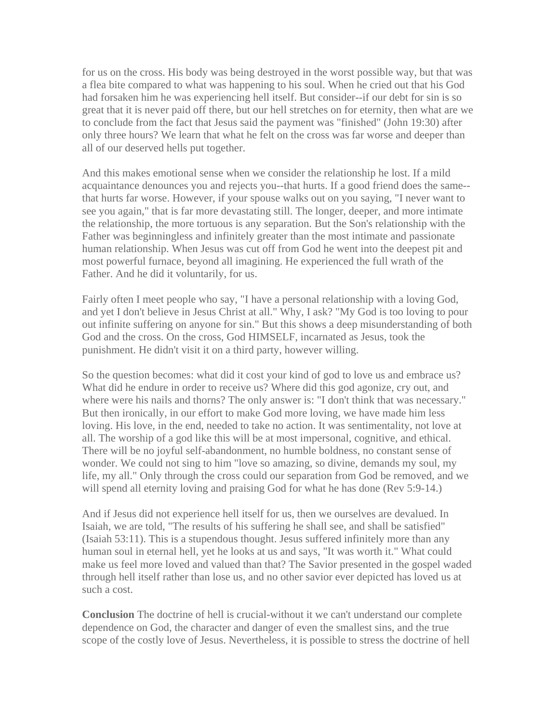for us on the cross. His body was being destroyed in the worst possible way, but that was a flea bite compared to what was happening to his soul. When he cried out that his God had forsaken him he was experiencing hell itself. But consider--if our debt for sin is so great that it is never paid off there, but our hell stretches on for eternity, then what are we to conclude from the fact that Jesus said the payment was "finished" (John 19:30) after only three hours? We learn that what he felt on the cross was far worse and deeper than all of our deserved hells put together.

And this makes emotional sense when we consider the relationship he lost. If a mild acquaintance denounces you and rejects you--that hurts. If a good friend does the same- that hurts far worse. However, if your spouse walks out on you saying, "I never want to see you again," that is far more devastating still. The longer, deeper, and more intimate the relationship, the more tortuous is any separation. But the Son's relationship with the Father was beginningless and infinitely greater than the most intimate and passionate human relationship. When Jesus was cut off from God he went into the deepest pit and most powerful furnace, beyond all imagining. He experienced the full wrath of the Father. And he did it voluntarily, for us.

Fairly often I meet people who say, "I have a personal relationship with a loving God, and yet I don't believe in Jesus Christ at all." Why, I ask? "My God is too loving to pour out infinite suffering on anyone for sin." But this shows a deep misunderstanding of both God and the cross. On the cross, God HIMSELF, incarnated as Jesus, took the punishment. He didn't visit it on a third party, however willing.

So the question becomes: what did it cost your kind of god to love us and embrace us? What did he endure in order to receive us? Where did this god agonize, cry out, and where were his nails and thorns? The only answer is: "I don't think that was necessary." But then ironically, in our effort to make God more loving, we have made him less loving. His love, in the end, needed to take no action. It was sentimentality, not love at all. The worship of a god like this will be at most impersonal, cognitive, and ethical. There will be no joyful self-abandonment, no humble boldness, no constant sense of wonder. We could not sing to him "love so amazing, so divine, demands my soul, my life, my all." Only through the cross could our separation from God be removed, and we will spend all eternity loving and praising God for what he has done (Rev 5:9-14.)

And if Jesus did not experience hell itself for us, then we ourselves are devalued. In Isaiah, we are told, "The results of his suffering he shall see, and shall be satisfied" (Isaiah 53:11). This is a stupendous thought. Jesus suffered infinitely more than any human soul in eternal hell, yet he looks at us and says, "It was worth it." What could make us feel more loved and valued than that? The Savior presented in the gospel waded through hell itself rather than lose us, and no other savior ever depicted has loved us at such a cost.

**Conclusion** The doctrine of hell is crucial-without it we can't understand our complete dependence on God, the character and danger of even the smallest sins, and the true scope of the costly love of Jesus. Nevertheless, it is possible to stress the doctrine of hell